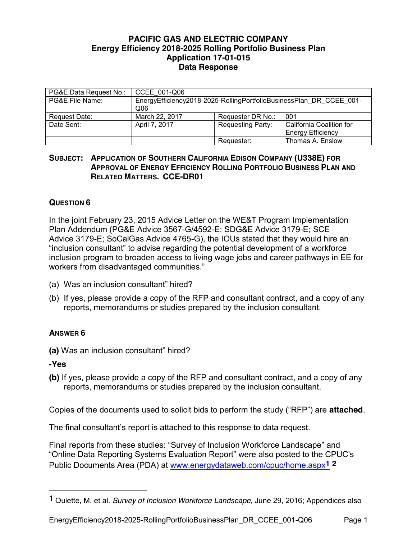## **PACIFIC GAS AND ELECTRIC COMPANY Energy Efficiency 2018-2025 Rolling Portfolio Business Plan Application 17-01-015 Data Response**

| PG&E Data Request No.: | CCEE 001-Q06                                                                           |                          |                                                      |
|------------------------|----------------------------------------------------------------------------------------|--------------------------|------------------------------------------------------|
| PG&E File Name:        | EnergyEfficiency2018-2025-RollingPortfolioBusinessPlan DR CCEE 001-<br>Q <sub>06</sub> |                          |                                                      |
| Request Date:          | March 22, 2017                                                                         | Requester DR No.:        | 001                                                  |
| Date Sent:             | April 7, 2017                                                                          | <b>Requesting Party:</b> | California Coalition for<br><b>Energy Efficiency</b> |
|                        |                                                                                        | Requester:               | Thomas A. Enslow                                     |

## **SUBJECT: APPLICATION OF SOUTHERN CALIFORNIA EDISON COMPANY (U338E) FOR APPROVAL OF ENERGY EFFICIENCY ROLLING PORTFOLIO BUSINESS PLAN AND RELATED MATTERS. CCE-DR01**

## **QUESTION 6**

In the joint February 23, 2015 Advice Letter on the WE&T Program Implementation Plan Addendum (PG&E Advice 3567-G/4592-E; SDG&E Advice 3179-E; SCE Advice 3179-E; SoCalGas Advice 4765-G), the IOUs stated that they would hire an "inclusion consultant" to advise regarding the potential development of a workforce inclusion program to broaden access to living wage jobs and career pathways in EE for workers from disadvantaged communities."

- (a) Was an inclusion consultant" hired?
- (b) If yes, please provide a copy of the RFP and consultant contract, and a copy of any reports, memorandums or studies prepared by the inclusion consultant.

## **ANSWER 6**

**(a)** Was an inclusion consultant" hired?

**-Yes**

 $\overline{a}$ 

**(b)** If yes, please provide a copy of the RFP and consultant contract, and a copy of any reports, memorandums or studies prepared by the inclusion consultant.

Copies of the documents used to solicit bids to perform the study ("RFP") are **attached**.

The final consultant's report is attached to this response to data request.

Final reports from these studies: "Survey of Inclusion Workforce Landscape" and "Online Data Reporting Systems Evaluation Report" were also posted to the CPUC's Public Documents Area (PDA) at www.energydataweb.com/cpuc/home.aspx**1 2**

EnergyEfficiency2018-2025-RollingPortfolioBusinessPlan\_DR\_CCEE\_001-Q06 Page 1

**<sup>1</sup>** Oulette, M. et al. *Survey of Inclusion Workforce Landscape*, June 29, 2016; Appendices also